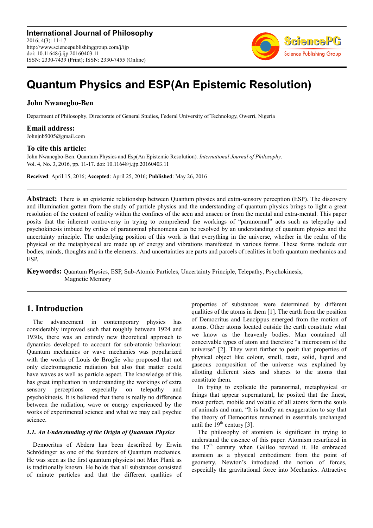**International Journal of Philosophy** 2016; 4(3): 11-17 http://www.sciencepublishinggroup.com/j/ijp doi: 10.11648/j.ijp.20160403.11 ISSN: 2330-7439 (Print); ISSN: 2330-7455 (Online)



# **Quantum Physics and ESP(An Epistemic Resolution)**

## **John Nwanegbo-Ben**

Department of Philosophy, Directorate of General Studies, Federal University of Technology, Owerri, Nigeria

### **Email address:**

Johnjnb5005@gmail.com

### **To cite this article:**

John Nwanegbo-Ben. Quantum Physics and Esp(An Epistemic Resolution). *International Journal of Philosophy*. Vol. 4, No. 3, 2016, pp. 11-17. doi: 10.11648/j.ijp.20160403.11

**Received**: April 15, 2016; **Accepted**: April 25, 2016; **Published**: May 26, 2016

**Abstract:** There is an epistemic relationship between Quantum physics and extra-sensory perception (ESP). The discovery and illumination gotten from the study of particle physics and the understanding of quantum physics brings to light a great resolution of the content of reality within the confines of the seen and unseen or from the mental and extra-mental. This paper posits that the inherent controversy in trying to comprehend the workings of "paranormal" acts such as telepathy and psychokinesis imbued by critics of paranormal phenomena can be resolved by an understanding of quantum physics and the uncertainty principle. The underlying position of this work is that everything in the universe, whether in the realm of the physical or the metaphysical are made up of energy and vibrations manifested in various forms. These forms include our bodies, minds, thoughts and in the elements. And uncertainties are parts and parcels of realities in both quantum mechanics and ESP.

**Keywords:** Quantum Physics, ESP, Sub-Atomic Particles, Uncertainty Principle, Telepathy, Psychokinesis, Magnetic Memory

# **1. Introduction**

The advancement in contemporary physics has considerably improved such that roughly between 1924 and 1930s, there was an entirely new theoretical approach to dynamics developed to account for sub-atomic behaviour. Quantum mechanics or wave mechanics was popularized with the works of Louis de Broglie who proposed that not only electromagnetic radiation but also that matter could have waves as well as particle aspect. The knowledge of this has great implication in understanding the workings of extra<br>sensory perceptions especially on telepathy and sensory perceptions especially on telepathy and psychokinesis. It is believed that there is really no difference between the radiation, wave or energy experienced by the works of experimental science and what we may call psychic science.

### *1.1. An Understanding of the Origin of Quantum Physics*

Democritus of Abdera has been described by Erwin Schrödinger as one of the founders of Quantum mechanics. He was seen as the first quantum physicist not Max Plank as is traditionally known. He holds that all substances consisted of minute particles and that the different qualities of properties of substances were determined by different qualities of the atoms in them [1]. The earth from the position of Democritus and Leucippus emerged from the motion of atoms. Other atoms located outside the earth constitute what we know as the heavenly bodies. Man contained all conceivable types of atom and therefore "a microcosm of the universe" [2]. They went further to posit that properties of physical object like colour, smell, taste, solid, liquid and gaseous composition of the universe was explained by allotting different sizes and shapes to the atoms that constitute them.

In trying to explicate the paranormal, metaphysical or things that appear supernatural, he posited that the finest, most perfect, mobile and volatile of all atoms form the souls of animals and man. "It is hardly an exaggeration to say that the theory of Democritus remained in essentials unchanged until the  $19<sup>th</sup>$  century [3].

The philosophy of atomism is significant in trying to understand the essence of this paper. Atomism resurfaced in the  $17<sup>th</sup>$  century when Galileo revived it. He embraced atomism as a physical embodiment from the point of geometry. Newton's introduced the notion of forces, especially the gravitational force into Mechanics. Attractive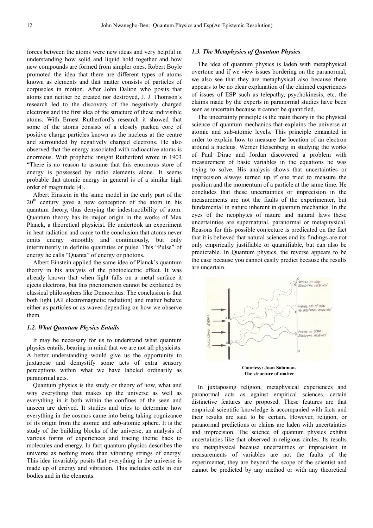forces between the atoms were new ideas and very helpful in understanding how solid and liquid hold together and how new compounds are formed from simpler ones. Robert Boyle promoted the idea that there are different types of atoms known as elements and that matter consists of particles of corpuscles in motion. After John Dalton who posits that atoms can neither be created nor destroyed, J. J. Thomson's research led to the discovery of the negatively charged electrons and the first idea of the structure of these indivisible atoms. With Ernest Rutherford's research it showed that some of the atoms consists of a closely packed core of positive charge particles known as the nucleus at the centre and surrounded by negatively charged electrons. He also observed that the energy associated with radioactive atoms is enormous. With prophetic insight Rutherford wrote in 1903 "There is no reason to assume that this enormous store of energy is possessed by radio elements alone. It seems probable that atomic energy in general is of a similar high order of magnitude [4].

Albert Einstein in the same model in the early part of the  $20<sup>th</sup>$  century gave a new conception of the atom in his quantum theory, thus denying the indestructibility of atom. Quantum theory has its major origin in the works of Max Planck, a theoretical physicist. He undertook an experiment in heat radiation and came to the conclusion that atoms never emits energy smoothly and continuously, but only intermittently in definite quantities or pulse. This "Pulse" of energy he calls "Quanta" of energy or photons.

Albert Einstein applied the same idea of Planck's quantum theory in his analysis of the photoelectric effect. It was already known that when light falls on a metal surface it ejects electrons, but this phenomenon cannot be explained by classical philosophers like Democritus. The conclusion is that both light (All electromagnetic radiation) and matter behave either as particles or as waves depending on how we observe them.

#### *1.2. What Quantum Physics Entails*

It may be necessary for us to understand what quantum physics entails, bearing in mind that we are not all physicists. A better understanding would give us the opportunity to juxtapose and demystify some acts of extra sensory perceptions within what we have labeled ordinarily as paranormal acts.

Quantum physics is the study or theory of how, what and why everything that makes up the universe as well as everything in it both within the confines of the seen and unseen are derived. It studies and tries to determine how everything in the cosmos came into being taking cognizance of its origin from the atomic and sub-atomic sphere. It is the study of the building blocks of the universe, an analysis of various forms of experiences and tracing theme back to molecules and energy. In fact quantum physics describes the universe as nothing more than vibrating strings of energy. This idea invariably posits that everything in the universe is made up of energy and vibration. This includes cells in our bodies and in the elements.

### *1.3. The Metaphysics of Quantum Physics*

The idea of quantum physics is laden with metaphysical overtone and if we view issues bordering on the paranormal, we also see that they are metaphysical also because there appears to be no clear explanation of the claimed experiences of issues of ESP such as telepathy, psychokinesis, etc. the claims made by the experts in paranormal studies have been seen as uncertain because it cannot be quantified.

The uncertainty principle is the main theory in the physical science of quantum mechanics that explains the universe at atomic and sub-atomic levels. This principle emanated in order to explain how to measure the location of an electron around a nucleus. Werner Heisenberg in studying the works of Paul Dirac and Jordan discovered a problem with measurement of basic variables in the equations he was trying to solve. His analysis shows that uncertainties or imprecision always turned up if one tried to measure the position and the momentum of a particle at the same time. He concludes that these uncertainties or imprecision in the measurements are not the faults of the experimenter, but fundamental in nature inherent in quantum mechanics. In the eyes of the neophytes of nature and natural laws these uncertainties are supernatural, paranormal or metaphysical. Reasons for this possible conjecture is predicated on the fact that it is believed that natural sciences and its findings are not only empirically justifiable or quantifiable, but can also be predictable. In Quantum physics, the reverse appears to be the case because you cannot easily predict because the results are uncertain.



**The structure of matter** 

In juxtaposing religion, metaphysical experiences and paranormal acts as against empirical sciences, certain distinctive features are proposed. These features are that empirical scientific knowledge is accompanied with facts and their results are said to be certain. However, religion, or paranormal predictions or claims are laden with uncertainties and imprecision. The science of quantum physics exhibit uncertainties like that observed in religious circles. Its results are metaphysical because uncertainties or imprecision in measurements of variables are not the faults of the experimenter, they are beyond the scope of the scientist and cannot be predicted by any method or with any theoretical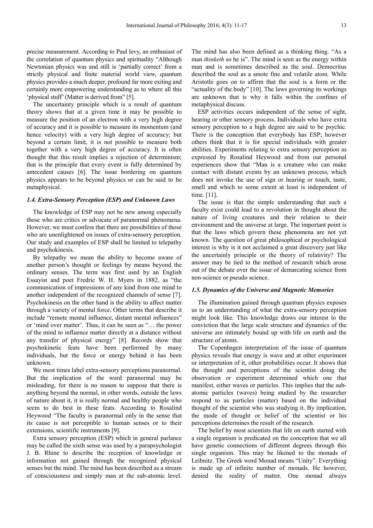precise measurement. According to Paul levy, an enthusiast of the correlation of quantum physics and spirituality "Although Newtonian physics was and still is 'partially correct' from a strictly physical and finite material world view, quantum physics provides a much deeper, profound far more exiting and certainly more empowering understanding as to where all this 'physical stuff' (Matter is derived from" [5].

The uncertainty principle which is a result of quantum theory shows that at a given time it may be possible to measure the position of an electron with a very high degree of accuracy and it is possible to measure its momentum (and hence velocity) with a very high degree of accuracy; but beyond a certain limit, it is not possible to measure both together with a very high degree of accuracy. It is often thought that this result implies a rejection of determinism; that is the principle that every event is fully determined by antecedent causes [6]. The issue bordering on quantum physics appears to be beyond physics or can be said to be metaphysical.

#### *1.4. Extra-Sensory Perception (ESP) and Unknown Laws*

The knowledge of ESP may not be new among especially those who are critics or advocate of paranormal phenomena. However, we must confess that there are possibilities of those who are unenlightened on issues of extra-sensory perception. Our study and examples of ESP shall be limited to telepathy and psychokinesis.

By telepathy we mean the ability to become aware of another person's thought or feelings by means beyond the ordinary senses. The term was first used by an English Essayist and poet Fredric W. H. Myers in 1882, as "the communication of impressions of any kind from one mind to another independent of the recognized channels of sense [7]. Psychokinesis on the other hand is the ability to affect matter through a variety of mental force. Other terms that describe it include "remote mental influence, distant mental influences" or 'mind over matter'. Thus, it can be seen as "… the power of the mind to influence matter directly at a distance without any transfer of physical energy" [8]. Records show that psychokinetic feats have been performed by many individuals, but the force or energy behind it has been unknown.

We most times label extra-sensory perceptions paranormal. But the implication of the word paranormal may be misleading, for there is no reason to suppose that there is anything beyond the normal, in other words, outside the laws of nature about it, it is really normal and healthy people who seem to do best in these feats. According to Rosalind Heywood "The faculty is paranormal only in the sense that its cause is not perceptible to human senses or to their extensions, scientific instruments [9].

Extra sensory perception (ESP) which in general parlance may be called the sixth sense was used by a parapsychologist J. B. Rhine to describe the reception of knowledge or information not gained through the recognized physical senses but the mind. The mind has been described as a stream of consciousness and simply man at the sub-atomic level.

The mind has also been defined as a thinking thing. "As a man *thinketh* so he is". The mind is seen as the energy within man and is sometimes described as the soul. Democritus described the soul as a smote fine and volatile atom. While Aristotle goes on to affirm that the soul is a form or the "actuality of the body" [10]. The laws governing its workings are unknown that is why it falls within the confines of metaphysical discuss.

ESP activities occurs independent of the sense of sight, hearing or other sensory process. Individuals who have extra sensory perception to a high degree are said to be psychic. There is the conception that everybody has ESP; however others think that it is for special individuals with greater abilities. Experiments relating to extra sensory perception as expressed by Rosalind Heywood and from our personal experiences show that "Man is a creature who can make contact with distant events by an unknown process, which does not invoke the use of sign or hearing or touch, taste, smell and which to some extent at least is independent of time. [11].

The issue is that the simple understanding that such a faculty exist could lead to a revolution in thought about the nature of living creatures and their relation to their environment and the universe at large. The important point is that the laws which govern these phenomena are not yet known. The question of great philosophical or psychological interest is why is it not acclaimed a great discovery just like the uncertainly principle or the theory of relativity? The answer may be tied to the method of research which arose out of the debate over the issue of demarcating science from non-science or pseudo science.

#### *1.5. Dynamics of the Universe and Magnetic Memories*

The illumination gained through quantum physics exposes us to an understanding of what the extra-sensory perception might look like. This knowledge draws our interest to the conviction that the large scale structure and dynamics of the universe are intimately bound up with life on earth and the structure of atoms.

The Copenhagen interpretation of the issue of quantum physics reveals that energy is wave and at other experiment or interpretation of it, other probabilities occur. It shows that the thought and perceptions of the scientist doing the observation or experiment determined which one that manifest, either waves or particles. This implies that the subatomic particles (waves) being studied by the researcher respond to as particles (matter) based on the individual thought of the scientist who was studying it. By implication, the mode of thought or belief of the scientist or his perceptions determines the result of the research.

The belief by most scientists that life on earth started with a single organism is predicated on the conception that we all have genetic connections of different degrees through this single organism. This may be likened to the monads of Leibnitz. The Greek word Monad means "Unity". Everything is made up of infinite number of monads. He however, denied the reality of matter. One monad always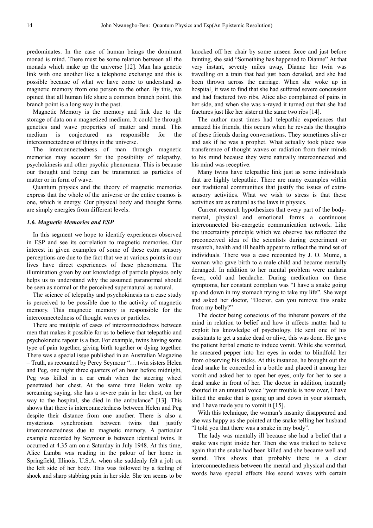predominates. In the case of human beings the dominant monad is mind. There must be some relation between all the monads which make up the universe [12]. Man has genetic link with one another like a telephone exchange and this is possible because of what we have come to understand as magnetic memory from one person to the other. By this, we opined that all human life share a common branch point, this branch point is a long way in the past.

Magnetic Memory is the memory and link due to the storage of data on a magnetized medium. It could be through genetics and wave properties of matter and mind. This medium is conjectured as responsible for the interconnectedness of things in the universe.

The interconnectedness of man through magnetic memories may account for the possibility of telepathy, psychokinesis and other psychic phenomena. This is because our thought and being can be transmuted as particles of matter or in form of wave.

Quantum physics and the theory of magnetic memories express that the whole of the universe or the entire cosmos is one, which is energy. Our physical body and thought forms are simply energies from different levels.

#### *1.6. Magnetic Memories and ESP*

In this segment we hope to identify experiences observed in ESP and see its correlation to magnetic memories. Our interest in given examples of some of these extra sensory perceptions are due to the fact that we at various points in our lives have direct experiences of these phenomena. The illumination given by our knowledge of particle physics only helps us to understand why the assumed paranormal should be seen as normal or the perceived supernatural as natural.

The science of telepathy and psychokinesis as a case study is perceived to be possible due to the activity of magnetic memory. This magnetic memory is responsible for the interconnectedness of thought waves or particles.

There are multiple of cases of interconnectedness between men that makes it possible for us to believe that telepathic and psychokinetic rapour is a fact. For example, twins having some type of pain together, giving birth together or dying together. There was a special issue published in an Australian Magazine – Truth, as recounted by Percy Seymour "… twin sisters Helen and Peg, one night three quarters of an hour before midnight, Peg was killed in a car crash when the steering wheel penetrated her chest. At the same time Helen woke up screaming saying, she has a severe pain in her chest, on her way to the hospital, she died in the ambulance" [13]. This shows that there is interconnectedness between Helen and Peg despite their distance from one another. There is also a mysterious synchronism between twins that justify interconnectedness due to magnetic memory. A particular example recorded by Seymour is between identical twins. It occurred at 4.35 am on a Saturday in July 1948. At this time, Alice Lamba was reading in the palour of her home in Springfield, Illinois, U.S.A. when she suddenly felt a jolt on the left side of her body. This was followed by a feeling of shock and sharp stabbing pain in her side. She ten seems to be

knocked off her chair by some unseen force and just before fainting, she said "Something has happened to Dianne" At that very instant, seventy miles away, Dianne her twin was travelling on a train that had just been derailed, and she had been thrown across the carriage. When she woke up in hospital<sub>,</sub> it was to find that she had suffered severe concussion and had fractured two ribs. Alice also complained of pains in her side, and when she was x-rayed it turned out that she had fractures just like her sister at the same two ribs [14].

The author most times had telepathic experiences that amazed his friends, this occurs when he reveals the thoughts of these friends during conversations. They sometimes shiver and ask if he was a prophet. What actually took place was transference of thought waves or radiation from their minds to his mind because they were naturally interconnected and his mind was receptive.

Many twins have telepathic link just as some individuals that are highly telepathic. There are many examples within our traditional communities that justify the issues of extrasensory activities. What we wish to stress is that these activities are as natural as the laws in physics.

Current research hypothesizes that every part of the bodymental, physical and emotional forms a continuous interconnected bio-energetic communication network. Like the uncertainty principle which we observe has reflected the preconceived idea of the scientists during experiment or research, health and ill health appear to reflect the mind set of individuals. There was a case recounted by J. O. Mume, a woman who gave birth to a male child and became mentally deranged. In addition to her mental problem were malaria fever, cold and headache. During medication on these symptoms, her constant complain was "I have a snake going up and down in my stomach trying to take my life". She wept and asked her doctor, "Doctor, can you remove this snake from my belly?"

The doctor being conscious of the inherent powers of the mind in relation to belief and how it affects matter had to exploit his knowledge of psychology. He sent one of his assistants to get a snake dead or alive, this was done. He gave the patient herbal emetic to induce vomit. While she vomited, he smeared pepper into her eyes in order to blindfold her from observing his tricks. At this instance, he brought out the dead snake he concealed in a bottle and placed it among her vomit and asked her to open her eyes, only for her to see a dead snake in front of her. The doctor in addition, instantly shouted in an unusual voice "your trouble is now over, I have killed the snake that is going up and down in your stomach, and I have made you to vomit it [15].

With this technique, the woman's insanity disappeared and she was happy as she pointed at the snake telling her husband "I told you that there was a snake in my body".

The lady was mentally ill because she had a belief that a snake was right inside her. Then she was tricked to believe again that the snake had been killed and she became well and sound. This shows that probably there is a clear interconnectedness between the mental and physical and that words have special effects like sound waves with certain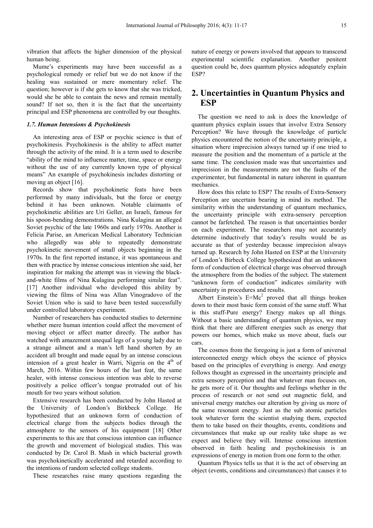vibration that affects the higher dimension of the physical human being.

Mume's experiments may have been successful as a psychological remedy or relief but we do not know if the healing was sustained or mere momentary relief. The question; however is if she gets to know that she was tricked, would she be able to contain the news and remain mentally sound? If not so, then it is the fact that the uncertainty principal and ESP phenomena are controlled by our thoughts.

#### *1.7. Human Intensions & Psychokinesis*

An interesting area of ESP or psychic science is that of psychokinesis. Psychokinesis is the ability to affect matter through the activity of the mind. It is a term used to describe "ability of the mind to influence matter, time, space or energy without the use of any currently known type of physical means" An example of psychokinesis includes distorting or moving an object [16].

Records show that psychokinetic feats have been performed by many individuals, but the force or energy behind it has been unknown. Notable claimants of psychokinetic abilities are Uri Geller, an Israeli, famous for his spoon-bending demonstrations. Nina Kulagina an alleged Soviet psychic of the late 1960s and early 1970s. Another is Felicia Parise, an American Medical Laboratory Technician who allegedly was able to repeatedly demonstrate psychokinetic movement of small objects beginning in the 1970s. In the first reported instance, it was spontaneous and then with practice by intense conscious intention she said, her inspiration for making the attempt was in viewing the blackand-white films of Nina Kulagina performing similar feat". [17] Another individual who developed this ability by viewing the films of Nina was Allan Vinogradovo of the Soviet Union who is said to have been tested successfully under controlled laboratory experiment.

Number of researchers has conducted studies to determine whether mere human intention could affect the movement of moving object or affect matter directly. The author has watched with amazement unequal legs of a young lady due to a strange ailment and a man's left hand shorten by an accident all brought and made equal by an intense conscious intension of a great healer in Warri, Nigeria on the  $4<sup>th</sup>$  of March, 2016. Within few hours of the last feat, the same healer, with intense conscious intention was able to reverse positively a police officer's tongue protruded out of his mouth for two years without solution.

Extensive research has been conducted by John Hasted at the University of London's Birkbeck College. He hypothesized that an unknown form of conduction of electrical charge from the subjects bodies through the atmosphere to the sensors of his equipment [18] Other experiments to this are that conscious intention can influence the growth and movement of biological studies. This was conducted by Dr. Carol B. Mash in which bacterial growth was psychokinetically accelerated and retarded according to the intentions of random selected college students.

These researches raise many questions regarding the

nature of energy or powers involved that appears to transcend experimental scientific explanation. Another penitent question could be, does quantum physics adequately explain ESP?

# **2. Uncertainties in Quantum Physics and ESP**

The question we need to ask is does the knowledge of quantum physics explain issues that involve Extra Sensory Perception? We have through the knowledge of particle physics encountered the notion of the uncertainty principle, a situation where imprecision always turned up if one tried to measure the position and the momentum of a particle at the same time. The conclusion made was that uncertainties and imprecision in the measurements are not the faults of the experimenter, but fundamental in nature inherent in quantum mechanics.

How does this relate to ESP? The results of Extra-Sensory Perception are uncertain bearing in mind its method. The similarity within the understanding of quantum mechanics, the uncertainty principle with extra-sensory perception cannot be farfetched. The reason is that uncertainties border on each experiment. The researchers may not accurately determine inductively that today's results would be as accurate as that of yesterday because imprecision always turned up. Research by John Hasted on ESP at the University of London's Birbeck College hypothesized that an unknown form of conduction of electrical charge was observed through the atmosphere from the bodies of the subject. The statement "unknown form of conduction" indicates similarity with uncertainty in procedures and results.

Albert Einstein's  $E=Mc^2$  proved that all things broken down to their most basic form consist of the same stuff. What is this stuff-Pure energy? Energy makes up all things. Without a basic understanding of quantum physics, we may think that there are different energies such as energy that powers our homes, which make us move about, fuels our cars.

The cosmos from the foregoing is just a form of universal interconnected energy which obeys the science of physics based on the principles of everything is energy. And energy follows thought as expressed in the uncertainty principle and extra sensory perception and that whatever man focuses on, he gets more of it. Our thoughts and feelings whether in the process of research or not send out magnetic field, and universal energy matches our alteration by giving us more of the same resonant energy. Just as the sub atomic particles took whatever form the scientist studying them, expected them to take based on their thoughts, events, conditions and circumstances that make up our reality take shape as we expect and believe they will. Intense conscious intention observed in faith healing and psychokinesisis is an expressions of energy in motion from one form to the other.

Quantum Physics tells us that it is the act of observing an object (events, conditions and circumstances) that causes it to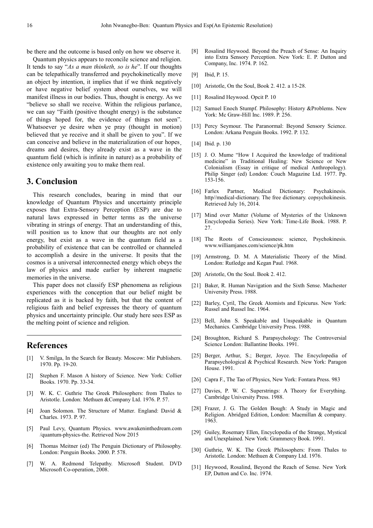be there and the outcome is based only on how we observe it.

Quantum physics appears to reconcile science and religion. It tends to say "*As a man thinketh, so is he*". If our thoughts can be telepathically transferred and psychokinetically move an object by intention, it implies that if we think negatively or have negative belief system about ourselves, we will manifest illness in our bodies. Thus, thought is energy. As we "believe so shall we receive. Within the religious parlance, we can say "Faith (positive thought energy) is the substance of things hoped for, the evidence of things not seen". Whatsoever ye desire when ye pray (thought in motion) believed that ye receive and it shall be given to you". If we can conceive and believe in the materialization of our hopes dreams and desires, they already exist as a wave in the quantum field (which is infinite in nature) as a probability of existence only awaiting you to make them real.

# **3. Conclusion**

This research concludes, bearing in mind that our knowledge of Quantum Physics and uncertainty principle exposes that Extra-Sensory Perception (ESP) are due to natural laws expressed in better terms as the universe vibrating in strings of energy. That an understanding of this, will position us to know that our thoughts are not only energy, but exist as a wave in the quantum field as a probability of existence that can be controlled or channeled to accomplish a desire in the universe. It posits that the cosmos is a universal interconnected energy which obeys the law of physics and made earlier by inherent magnetic memories in the universe.

This paper does not classify ESP phenomena as religious experiences with the conception that our belief might be replicated as it is backed by faith, but that the content of religious faith and belief expresses the theory of quantum physics and uncertainty principle. Our study here sees ESP as the melting point of science and religion.

# **References**

- V. Smilga, In the Search for Beauty. Moscow: Mir Publishers. 1970. Pp. 19-20.
- [2] Stephen F. Mason A history of Science. New York: Collier Books. 1970. Pp. 33-34.
- [3] W. K. C. Guthrie The Greek Philosophers: from Thales to Aristotle. London: Methuen &Company Ltd. 1976. P. 57.
- [4] Joan Solomon. The Structure of Matter. England: David & Charles. 1973. P. 97.
- [5] Paul Levy, Quantum Physics. www.awakeninthedream.com /quantum-physics-the. Retrieved Now 2015
- [6] Thomas Meitner (ed) The Penguin Dictionary of Philosophy. London: Penguin Books. 2000. P. 578.
- [7] W. A. Redmond Telepathy. Microsoft Student. DVD Microsoft Co-operation, 2008.
- [8] Rosalind Heywood. Beyond the Preach of Sense: An Inquiry into Extra Sensory Perception. New York: E. P. Dutton and Company, Inc. 1974. P. 162.
- [9] Ibid, P. 15.
- [10] Aristotle, On the Soul, Book 2. 412. a 15-28.
- [11] Rosalind Heywood. Opcit P. 10
- [12] Samuel Enoch Stumpf. Philosophy: History &Problems. New York: Mc Graw-Hill Inc. 1989. P. 256.
- [13] Percy Seymour. The Paranormal: Beyond Sensory Science. London: Arkana Penguin Books. 1992. P. 132.
- [14] Ibid. p. 130
- [15] J. O. Mume "How I Acquired the knowledge of traditional medicine" in Traditional Healing: New Science or New Colonialism (Essay in critique of medical Anthropology). Philip Singer (ed) London: Couch Magazine Ltd. 1977. Pp. 153-156.
- [16] Farlex Partner, Medical Dictionary: Psychakinesis. http//medical-dictionary. The free dictionary. copsychokinesis. Retrieved July 16, 2014.
- [17] Mind over Matter (Volume of Mysteries of the Unknown Encyclopedia Series). New York: Time-Life Book. 1988. P. 27.
- [18] The Roots of Consciousness: science, Psychokinesis. www.williamjanes.com/science/pk.htm
- [19] Armstrong, D. M. A Materialistic Theory of the Mind. London: Rutledge and Kegan Paul. 1968.
- [20] Aristotle, On the Soul. Book 2.412.
- [21] Baker, R. Human Navigation and the Sixth Sense. Machester University Press. 1988.
- [22] Barley, Cyril, The Greek Atomists and Epicurus. New York: Russel and Russel Inc. 1964.
- [23] Bell, John S. Speakable and Unspeakable in Quantum Mechanics. Cambridge University Press. 1988.
- [24] Broughton, Richard S. Parapsychology: The Controversial Science London: Ballantine Books. 1991.
- [25] Berger, Arthur, S.; Berger, Joyce. The Encyclopedia of Parapsychological & Psychical Research. New York: Paragon House. 1991.
- [26] Capra F., The Tao of Physics, New York: Fontara Press. 983
- [27] Davies, P. W. C. Superstrings: A Theory for Everything. Cambridge University Press. 1988.
- [28] Frazer, J. G. The Golden Bough: A Study in Magic and Religion. Abridged Edition, London: Macmillan & company. 1963.
- [29] Guiley, Rosemary Ellen, Encyclopedia of the Strange, Mystical and Unexplained. New York: Grammercy Book. 1991.
- [30] Guthrie, W. K. The Greek Philosophers: From Thales to Aristotle. London: Methuen & Company Ltd. 1976.
- [31] Heywood, Rosalind, Beyond the Reach of Sense. New York EP, Dutton and Co. Inc. 1974.